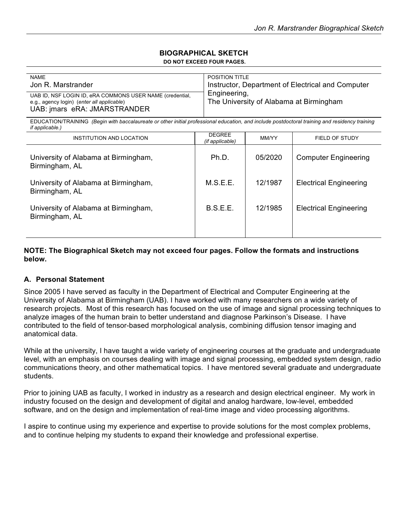#### **BIOGRAPHICAL SKETCH DO NOT EXCEED FOUR PAGES.**

| <b>NAME</b>                                                                                                                                                              | <b>POSITION TITLE</b> |         |                                                   |  |
|--------------------------------------------------------------------------------------------------------------------------------------------------------------------------|-----------------------|---------|---------------------------------------------------|--|
| Jon R. Marstrander                                                                                                                                                       |                       |         | Instructor, Department of Electrical and Computer |  |
|                                                                                                                                                                          | Engineering,          |         |                                                   |  |
| UAB ID, NSF LOGIN ID, eRA COMMONS USER NAME (credential,                                                                                                                 |                       |         |                                                   |  |
| e.g., agency login) (enter all applicable)                                                                                                                               |                       |         | The University of Alabama at Birmingham           |  |
| UAB: jmars eRA: JMARSTRANDER                                                                                                                                             |                       |         |                                                   |  |
|                                                                                                                                                                          |                       |         |                                                   |  |
| EDUCATION/TRAINING (Begin with baccalaureate or other initial professional education, and include postdoctoral training and residency training<br><i>if applicable.)</i> |                       |         |                                                   |  |
| INSTITUTION AND LOCATION                                                                                                                                                 | <b>DEGREE</b>         | MM/YY   | FIELD OF STUDY                                    |  |
|                                                                                                                                                                          | (if applicable)       |         |                                                   |  |
|                                                                                                                                                                          |                       |         |                                                   |  |
| University of Alabama at Birmingham,                                                                                                                                     | Ph.D.                 | 05/2020 | <b>Computer Engineering</b>                       |  |
| Birmingham, AL                                                                                                                                                           |                       |         |                                                   |  |
|                                                                                                                                                                          |                       |         |                                                   |  |
|                                                                                                                                                                          |                       |         |                                                   |  |
| University of Alabama at Birmingham,                                                                                                                                     | M.S.E.E.              | 12/1987 | <b>Electrical Engineering</b>                     |  |
| Birmingham, AL                                                                                                                                                           |                       |         |                                                   |  |
|                                                                                                                                                                          |                       |         |                                                   |  |
| University of Alabama at Birmingham,                                                                                                                                     | B.S.E.E.              | 12/1985 | <b>Electrical Engineering</b>                     |  |
| Birmingham, AL                                                                                                                                                           |                       |         |                                                   |  |
|                                                                                                                                                                          |                       |         |                                                   |  |
|                                                                                                                                                                          |                       |         |                                                   |  |
|                                                                                                                                                                          |                       |         |                                                   |  |

**NOTE: The Biographical Sketch may not exceed four pages. Follow the formats and instructions below.** 

### **A. Personal Statement**

Since 2005 I have served as faculty in the Department of Electrical and Computer Engineering at the University of Alabama at Birmingham (UAB). I have worked with many researchers on a wide variety of research projects. Most of this research has focused on the use of image and signal processing techniques to analyze images of the human brain to better understand and diagnose Parkinson's Disease. I have contributed to the field of tensor-based morphological analysis, combining diffusion tensor imaging and anatomical data.

While at the university, I have taught a wide variety of engineering courses at the graduate and undergraduate level, with an emphasis on courses dealing with image and signal processing, embedded system design, radio communications theory, and other mathematical topics. I have mentored several graduate and undergraduate students.

Prior to joining UAB as faculty, I worked in industry as a research and design electrical engineer. My work in industry focused on the design and development of digital and analog hardware, low-level, embedded software, and on the design and implementation of real-time image and video processing algorithms.

I aspire to continue using my experience and expertise to provide solutions for the most complex problems, and to continue helping my students to expand their knowledge and professional expertise.